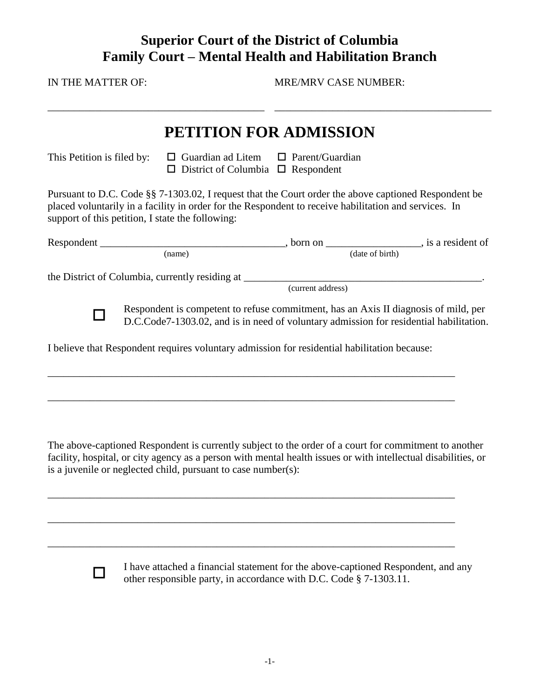## **Superior Court of the District of Columbia Family Court – Mental Health and Habilitation Branch**

IN THE MATTER OF:

\_\_\_\_\_\_\_\_\_\_\_\_\_\_\_\_\_\_\_\_\_\_\_\_\_\_\_\_\_\_\_\_\_\_\_\_\_\_\_\_\_

MRE/MRV CASE NUMBER:

\_\_\_\_\_\_\_\_\_\_\_\_\_\_\_\_\_\_\_\_\_\_\_\_\_\_\_\_\_\_\_\_\_\_\_\_\_\_\_\_\_

## **PETITION FOR ADMISSION**

This Petition is filed by:  $\Box$  Guardian ad Litem  $\Box$  Parent/Guardian  $\square$  District of Columbia  $\square$  Respondent

Pursuant to D.C. Code §§ 7-1303.02, I request that the Court order the above captioned Respondent be placed voluntarily in a facility in order for the Respondent to receive habilitation and services. In support of this petition, I state the following:

|                                                                                                                                                                               | born on           | , is a resident of |
|-------------------------------------------------------------------------------------------------------------------------------------------------------------------------------|-------------------|--------------------|
| (name)                                                                                                                                                                        |                   | (date of birth)    |
| the District of Columbia, currently residing at                                                                                                                               |                   |                    |
|                                                                                                                                                                               | (current address) |                    |
| Respondent is competent to refuse commitment, has an Axis II diagnosis of mild, per<br>D.C.Code7-1303.02, and is in need of voluntary admission for residential habilitation. |                   |                    |
| I believe that Respondent requires voluntary admission for residential habilitation because:                                                                                  |                   |                    |

\_\_\_\_\_\_\_\_\_\_\_\_\_\_\_\_\_\_\_\_\_\_\_\_\_\_\_\_\_\_\_\_\_\_\_\_\_\_\_\_\_\_\_\_\_\_\_\_\_\_\_\_\_\_\_\_\_\_\_\_\_\_\_\_\_\_\_\_\_\_\_\_\_\_\_\_\_

\_\_\_\_\_\_\_\_\_\_\_\_\_\_\_\_\_\_\_\_\_\_\_\_\_\_\_\_\_\_\_\_\_\_\_\_\_\_\_\_\_\_\_\_\_\_\_\_\_\_\_\_\_\_\_\_\_\_\_\_\_\_\_\_\_\_\_\_\_\_\_\_\_\_\_\_\_

\_\_\_\_\_\_\_\_\_\_\_\_\_\_\_\_\_\_\_\_\_\_\_\_\_\_\_\_\_\_\_\_\_\_\_\_\_\_\_\_\_\_\_\_\_\_\_\_\_\_\_\_\_\_\_\_\_\_\_\_\_\_\_\_\_\_\_\_\_\_\_\_\_\_\_\_\_

\_\_\_\_\_\_\_\_\_\_\_\_\_\_\_\_\_\_\_\_\_\_\_\_\_\_\_\_\_\_\_\_\_\_\_\_\_\_\_\_\_\_\_\_\_\_\_\_\_\_\_\_\_\_\_\_\_\_\_\_\_\_\_\_\_\_\_\_\_\_\_\_\_\_\_\_\_

\_\_\_\_\_\_\_\_\_\_\_\_\_\_\_\_\_\_\_\_\_\_\_\_\_\_\_\_\_\_\_\_\_\_\_\_\_\_\_\_\_\_\_\_\_\_\_\_\_\_\_\_\_\_\_\_\_\_\_\_\_\_\_\_\_\_\_\_\_\_\_\_\_\_\_\_\_

The above-captioned Respondent is currently subject to the order of a court for commitment to another facility, hospital, or city agency as a person with mental health issues or with intellectual disabilities, or is a juvenile or neglected child, pursuant to case number(s):

П

I have attached a financial statement for the above-captioned Respondent, and any other responsible party, in accordance with D.C. Code § 7-1303.11.